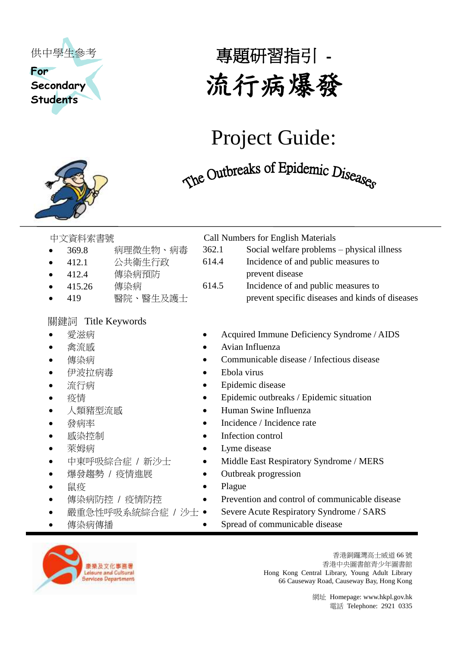

## **Secondary Students**

# 專題研習指引 - 流行病爆發

# Project Guide:

# The Outbreaks of Epidemic Diseaser

- 369.8 病理微生物、病毒
- 412.1 公共衛生行政
- 412.4 傳染病預防
- 
- 

### 關鍵詞 Title Keywords

- 
- 
- 
- 伊波拉病毒 Ebola virus
- 
- 
- 
- 
- 
- 
- 
- 爆發趨勢 / 疫情進展 → → Outbreak progression
- 
- 
- 
- 



| $\bullet$ | 369.8           | 病理微生物、病毒 | 362.1 | Social welfare problems – physical illness      |  |
|-----------|-----------------|----------|-------|-------------------------------------------------|--|
|           | $\bullet$ 412.1 | 公共衛生行政   | 614.4 | Incidence of and public measures to             |  |
|           | $\bullet$ 412.4 | 傳染病預防    |       | prevent disease                                 |  |
|           | • $415.26$      | 傳染病      | 614.5 | Incidence of and public measures to             |  |
|           | $\bullet$ 419   | 醫院、醫生及護士 |       | prevent specific diseases and kinds of diseases |  |

- 愛滋病 <br>● Acquired Immune Deficiency Syndrome / AIDS
	- **禽流感 Avian Influenza**
	- 傳染病 Communicable disease / Infectious disease
		-
- 流行病 <br>
Epidemic disease
- 疫情 ● Epidemic outbreaks / Epidemic situation
- 人類豬型流感 

→ Human Swine Influenza
	- 發病率 Incidence / Incidence rate
- 感染控制 Infection control
- 萊姆病 Lyme disease
- 中東呼吸綜合症 / 新沙士 Middle East Respiratory Syndrome / MERS
	-
- 鼠疫 Plague
- 傳染病防控 / 疫情防控 → Prevention and control of communicable disease
	- 嚴重急性呼吸系統綜合症 / 沙士 Severe Acute Respiratory Syndrome / SARS
	- **傳染病傳播 → → → → Spread of communicable disease**



香港銅鑼灣高士威道 66 號 香港中央圖書館青少年圖書館 Hong Kong Central Library, Young Adult Library 66 Causeway Road, Causeway Bay, Hong Kong

> 網址 Homepage[: www.hkpl.gov.hk](http://www.hkpl.gov.hk/) 電話 Telephone: 2921 0335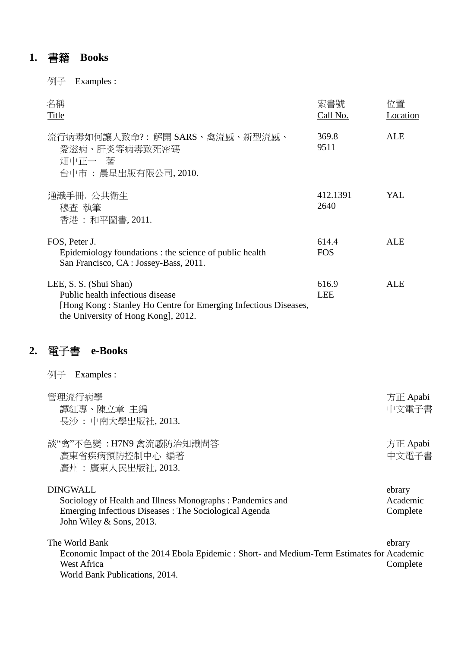### **1.** 書籍 **Books**

例子 Examples :

| 名稱<br>Title                                                                                                                                                         | 索書號<br>Call No.     | 位置<br>Location |
|---------------------------------------------------------------------------------------------------------------------------------------------------------------------|---------------------|----------------|
| 流行病毒如何讓人致命?:解開 SARS、禽流感、新型流感、<br>愛滋病、肝炎等病毒致死密碼<br>畑中正一著<br>台中市 : 晨星出版有限公司, 2010.                                                                                    | 369.8<br>9511       | ALE            |
| 通識手冊. 公共衛生<br>穆査 執筆<br>香港 : 和平圖書, 2011.                                                                                                                             | 412.1391<br>2640    | YAL.           |
| FOS, Peter J.<br>Epidemiology foundations : the science of public health<br>San Francisco, CA : Jossey-Bass, 2011.                                                  | 614.4<br><b>FOS</b> | ALE            |
| LEE, S. S. (Shui Shan)<br>Public health infectious disease<br>[Hong Kong: Stanley Ho Centre for Emerging Infectious Diseases,<br>the University of Hong Kong, 2012. | 616.9<br><b>LEE</b> | ALE            |

### **2.** 電子書 **e-Books**

| Examples :<br>例子                                                                                                                                                                                  |                    |  |  |
|---------------------------------------------------------------------------------------------------------------------------------------------------------------------------------------------------|--------------------|--|--|
| 管理流行病學<br>譚紅專、陳立章 主編<br>長沙:中南大學出版社, 2013.                                                                                                                                                         | 方正 Apabi<br>中文電子書  |  |  |
| 談"禽"不色變: H7N9 禽流感防治知識問答<br>廣東省疾病預防控制中心 編著<br>廣州 : 廣東人民出版社, 2013.                                                                                                                                  | 方正 Apabi<br>中文電子書  |  |  |
| <b>DINGWALL</b><br>Sociology of Health and Illness Monographs: Pandemics and<br>Emerging Infectious Diseases : The Sociological Agenda                                                            |                    |  |  |
| John Wiley $&$ Sons, 2013.<br>The World Bank<br>Economic Impact of the 2014 Ebola Epidemic: Short- and Medium-Term Estimates for Academic<br><b>West Africa</b><br>World Bank Publications, 2014. | ebrary<br>Complete |  |  |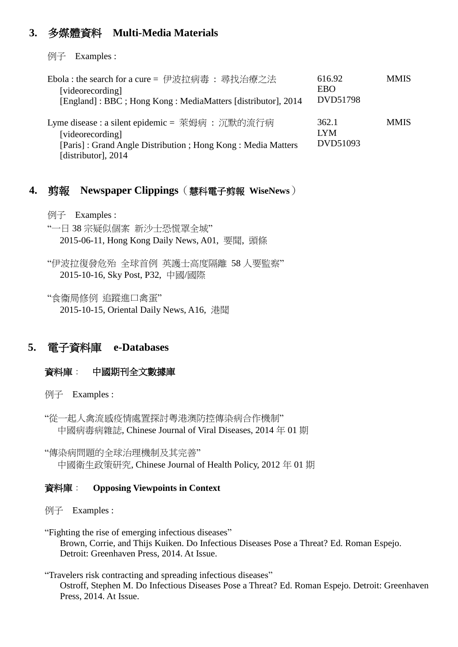#### **3.** 多媒體資料 **Multi-Media Materials**

例子 Examples :

| Ebola : the search for a cure = 伊波拉病毒: 尋找治療之法<br>[videorecording]<br>[England]: BBC; Hong Kong: MediaMatters [distributor], 2014                          | 616.92<br>EBO<br>DVD51798       | <b>MMIS</b> |
|-----------------------------------------------------------------------------------------------------------------------------------------------------------|---------------------------------|-------------|
| Lyme disease : a silent epidemic = 萊姆病 : 沉默的流行病<br>[videorecording]<br>[Paris]: Grand Angle Distribution; Hong Kong: Media Matters<br>[distributor], 2014 | 362.1<br><b>LYM</b><br>DVD51093 | <b>MMIS</b> |

#### **4.** 剪報 **Newspaper Clippings**(慧科電子剪報 **WiseNews**)

例子 Examples :

"一日 38 宗疑似個案 新沙士恐慌罩全城" 2015-06-11, Hong Kong Daily News, A01, 要聞, 頭條

"伊波拉復發危殆 全球首例 英護士高度隔離 58 人要監察" 2015-10-16, Sky Post, P32, 中國/國際

"食衞局修例 追蹤進口禽蛋" 2015-10-15, Oriental Daily News, A16, 港聞

#### **5.** 電子資料庫 **e-Databases**

#### 資料庫: 中國期刊全文數據庫

例子 Examples :

"從一起人禽流感疫情處置探討粵港澳防控傳染病合作機制" 中國病毒病雜誌, Chinese Journal of Viral Diseases, 2014 年 01 期

"傳染病問題的全球治理機制及其完善" 中國衛生政策研究, Chinese Journal of Health Policy, 2012 年 01 期

#### 資料庫: **Opposing Viewpoints in Context**

例子 Examples :

"Fighting the rise of emerging infectious diseases" Brown, Corrie, and Thijs Kuiken. Do Infectious Diseases Pose a Threat? Ed. Roman Espejo. Detroit: Greenhaven Press, 2014. At Issue.

"Travelers risk contracting and spreading infectious diseases" Ostroff, Stephen M. Do Infectious Diseases Pose a Threat? Ed. Roman Espejo. Detroit: Greenhaven Press, 2014. At Issue.